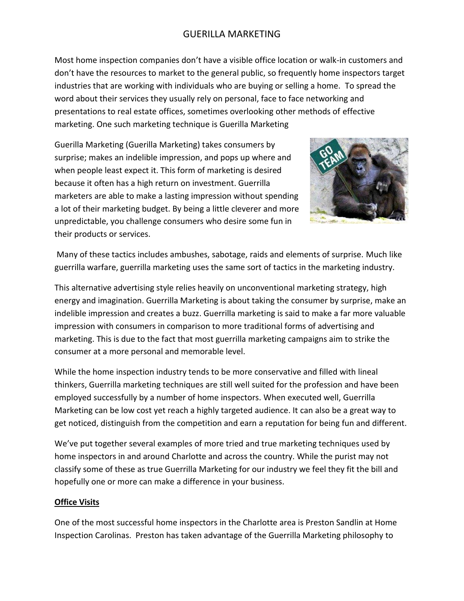Most home inspection companies don't have a visible office location or walk-in customers and don't have the resources to market to the general public, so frequently home inspectors target industries that are working with individuals who are buying or selling a home. To spread the word about their services they usually rely on personal, face to face networking and presentations to real estate offices, sometimes overlooking other methods of effective marketing. One such marketing technique is Guerilla Marketing

Guerilla Marketing (Guerilla Marketing) takes consumers by surprise; makes an indelible impression, and pops up where and when people least expect it. This form of marketing is desired because it often has a high return on investment. Guerrilla marketers are able to make a lasting impression without spending a lot of their marketing budget. By being a little cleverer and more unpredictable, you challenge consumers who desire some fun in their products or services.



Many of these tactics includes ambushes, sabotage, raids and elements of surprise. Much like guerrilla warfare, guerrilla marketing uses the same sort of tactics in the marketing industry.

This alternative advertising style relies heavily on unconventional marketing strategy, high energy and imagination. Guerrilla Marketing is about taking the consumer by surprise, make an indelible impression and creates a buzz. Guerrilla marketing is said to make a far more valuable impression with consumers in comparison to more traditional forms of advertising and marketing. This is due to the fact that most guerrilla marketing campaigns aim to strike the consumer at a more personal and memorable level.

While the home inspection industry tends to be more conservative and filled with lineal thinkers, Guerrilla marketing techniques are still well suited for the profession and have been employed successfully by a number of home inspectors. When executed well, Guerrilla Marketing can be low cost yet reach a highly targeted audience. It can also be a great way to get noticed, distinguish from the competition and earn a reputation for being fun and different.

We've put together several examples of more tried and true marketing techniques used by home inspectors in and around Charlotte and across the country. While the purist may not classify some of these as true Guerrilla Marketing for our industry we feel they fit the bill and hopefully one or more can make a difference in your business.

## **Office Visits**

One of the most successful home inspectors in the Charlotte area is Preston Sandlin at Home Inspection Carolinas. Preston has taken advantage of the Guerrilla Marketing philosophy to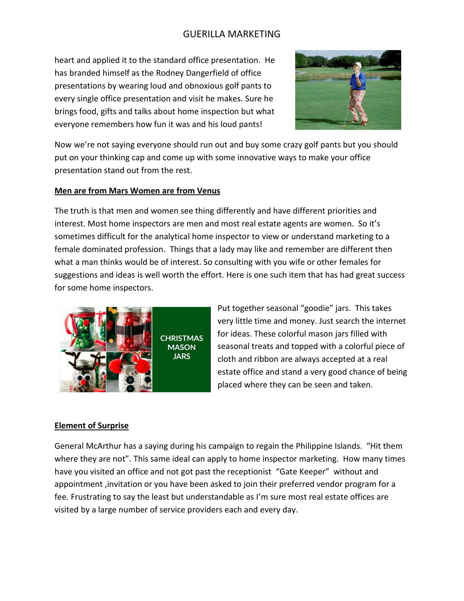heart and applied it to the standard office presentation. He has branded himself as the Rodney Dangerfield of office presentations by wearing loud and obnoxious golf pants to every single office presentation and visit he makes. Sure he brings food, gifts and talks about home inspection but what everyone remembers how fun it was and his loud pants!



Now we're not saying everyone should run out and buy some crazy golf pants but you should put on your thinking cap and come up with some innovative ways to make your office presentation stand out from the rest.

#### **Men are from Mars Women are from Venus**

The truth is that men and women see thing differently and have different priorities and interest. Most home inspectors are men and most real estate agents are women. So it's sometimes difficult for the analytical home inspector to view or understand marketing to a female dominated profession. Things that a lady may like and remember are different then what a man thinks would be of interest. So consulting with you wife or other females for suggestions and ideas is well worth the effort. Here is one such item that has had great success for some home inspectors.



Put together seasonal "goodie" jars. This takes very little time and money. Just search the internet for ideas. These colorful mason jars filled with seasonal treats and topped with a colorful piece of cloth and ribbon are always accepted at a real estate office and stand a very good chance of being placed where they can be seen and taken.

#### **Element of Surprise**

General McArthur has a saying during his campaign to regain the Philippine Islands. "Hit them where they are not". This same ideal can apply to home inspector marketing. How many times have you visited an office and not got past the receptionist "Gate Keeper" without and appointment ,invitation or you have been asked to join their preferred vendor program for a fee. Frustrating to say the least but understandable as I'm sure most real estate offices are visited by a large number of service providers each and every day.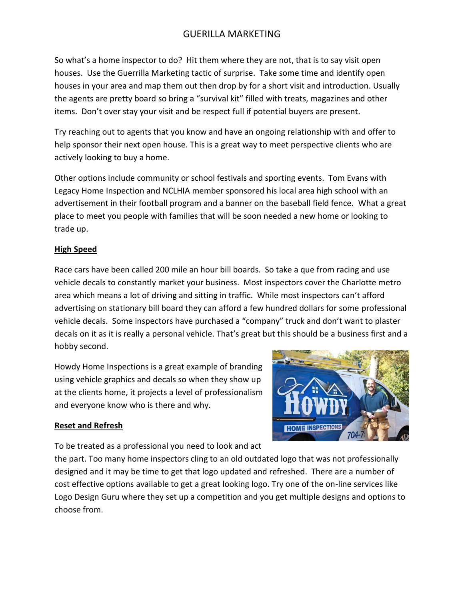So what's a home inspector to do? Hit them where they are not, that is to say visit open houses. Use the Guerrilla Marketing tactic of surprise. Take some time and identify open houses in your area and map them out then drop by for a short visit and introduction. Usually the agents are pretty board so bring a "survival kit" filled with treats, magazines and other items. Don't over stay your visit and be respect full if potential buyers are present.

Try reaching out to agents that you know and have an ongoing relationship with and offer to help sponsor their next open house. This is a great way to meet perspective clients who are actively looking to buy a home.

Other options include community or school festivals and sporting events. Tom Evans with Legacy Home Inspection and NCLHIA member sponsored his local area high school with an advertisement in their football program and a banner on the baseball field fence. What a great place to meet you people with families that will be soon needed a new home or looking to trade up.

### **High Speed**

Race cars have been called 200 mile an hour bill boards. So take a que from racing and use vehicle decals to constantly market your business. Most inspectors cover the Charlotte metro area which means a lot of driving and sitting in traffic. While most inspectors can't afford advertising on stationary bill board they can afford a few hundred dollars for some professional vehicle decals. Some inspectors have purchased a "company" truck and don't want to plaster decals on it as it is really a personal vehicle. That's great but this should be a business first and a hobby second.

Howdy Home Inspections is a great example of branding using vehicle graphics and decals so when they show up at the clients home, it projects a level of professionalism and everyone know who is there and why.

# **HOME INSPECTIONS**

## **Reset and Refresh**

To be treated as a professional you need to look and act

the part. Too many home inspectors cling to an old outdated logo that was not professionally designed and it may be time to get that logo updated and refreshed. There are a number of cost effective options available to get a great looking logo. Try one of the on-line services like Logo Design Guru where they set up a competition and you get multiple designs and options to choose from.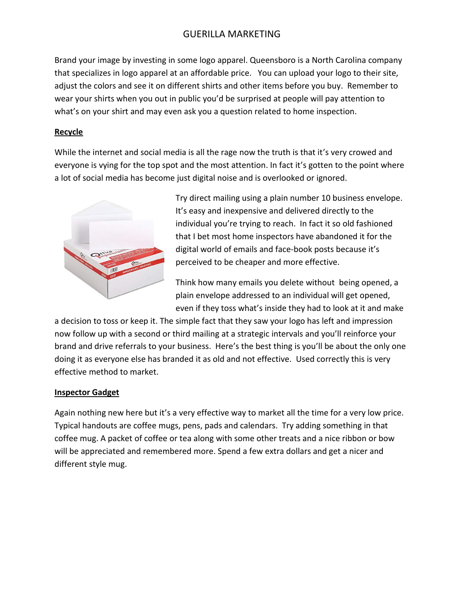Brand your image by investing in some logo apparel. Queensboro is a North Carolina company that specializes in logo apparel at an affordable price. You can upload your logo to their site, adjust the colors and see it on different shirts and other items before you buy. Remember to wear your shirts when you out in public you'd be surprised at people will pay attention to what's on your shirt and may even ask you a question related to home inspection.

### **Recycle**

While the internet and social media is all the rage now the truth is that it's very crowed and everyone is vying for the top spot and the most attention. In fact it's gotten to the point where a lot of social media has become just digital noise and is overlooked or ignored.



Try direct mailing using a plain number 10 business envelope. It's easy and inexpensive and delivered directly to the individual you're trying to reach. In fact it so old fashioned that I bet most home inspectors have abandoned it for the digital world of emails and face-book posts because it's perceived to be cheaper and more effective.

Think how many emails you delete without being opened, a plain envelope addressed to an individual will get opened, even if they toss what's inside they had to look at it and make

a decision to toss or keep it. The simple fact that they saw your logo has left and impression now follow up with a second or third mailing at a strategic intervals and you'll reinforce your brand and drive referrals to your business. Here's the best thing is you'll be about the only one doing it as everyone else has branded it as old and not effective. Used correctly this is very effective method to market.

#### **Inspector Gadget**

Again nothing new here but it's a very effective way to market all the time for a very low price. Typical handouts are coffee mugs, pens, pads and calendars. Try adding something in that coffee mug. A packet of coffee or tea along with some other treats and a nice ribbon or bow will be appreciated and remembered more. Spend a few extra dollars and get a nicer and different style mug.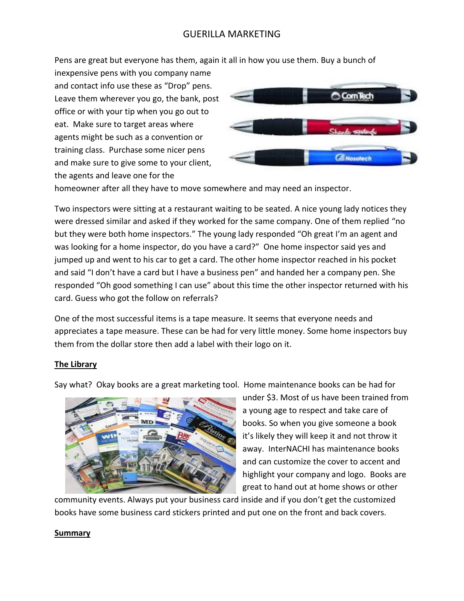Pens are great but everyone has them, again it all in how you use them. Buy a bunch of

inexpensive pens with you company name and contact info use these as "Drop" pens. Leave them wherever you go, the bank, post office or with your tip when you go out to eat. Make sure to target areas where agents might be such as a convention or training class. Purchase some nicer pens and make sure to give some to your client, the agents and leave one for the



homeowner after all they have to move somewhere and may need an inspector.

Two inspectors were sitting at a restaurant waiting to be seated. A nice young lady notices they were dressed similar and asked if they worked for the same company. One of them replied "no but they were both home inspectors." The young lady responded "Oh great I'm an agent and was looking for a home inspector, do you have a card?" One home inspector said yes and jumped up and went to his car to get a card. The other home inspector reached in his pocket and said "I don't have a card but I have a business pen" and handed her a company pen. She responded "Oh good something I can use" about this time the other inspector returned with his card. Guess who got the follow on referrals?

One of the most successful items is a tape measure. It seems that everyone needs and appreciates a tape measure. These can be had for very little money. Some home inspectors buy them from the dollar store then add a label with their logo on it.

## **The Library**

Say what? Okay books are a great marketing tool. Home maintenance books can be had for



under \$3. Most of us have been trained from a young age to respect and take care of books. So when you give someone a book it's likely they will keep it and not throw it away. InterNACHI has maintenance books and can customize the cover to accent and highlight your company and logo. Books are great to hand out at home shows or other

community events. Always put your business card inside and if you don't get the customized books have some business card stickers printed and put one on the front and back covers.

#### **Summary**